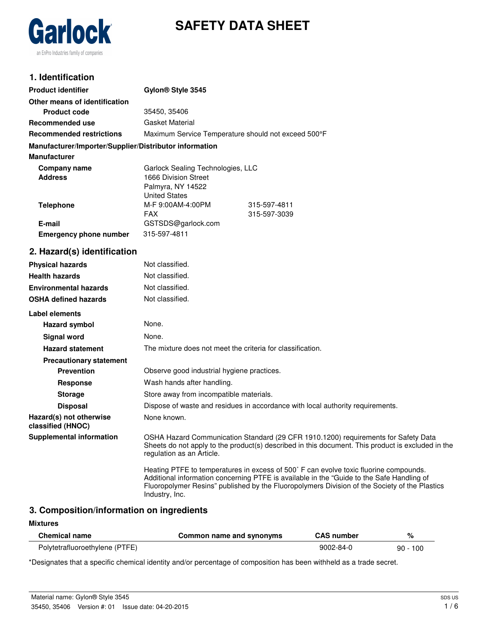



## **1. Identification**

| <b>Product identifier</b>                              | Gylon <sup>®</sup> Style 3545                       |              |
|--------------------------------------------------------|-----------------------------------------------------|--------------|
| Other means of identification                          |                                                     |              |
| <b>Product code</b>                                    | 35450, 35406                                        |              |
| Recommended use                                        | Gasket Material                                     |              |
| <b>Recommended restrictions</b>                        | Maximum Service Temperature should not exceed 500°F |              |
| Manufacturer/Importer/Supplier/Distributor information |                                                     |              |
| <b>Manufacturer</b>                                    |                                                     |              |
| Company name                                           | Garlock Sealing Technologies, LLC                   |              |
| <b>Address</b>                                         | 1666 Division Street                                |              |
|                                                        | Palmyra, NY 14522                                   |              |
|                                                        | <b>United States</b>                                |              |
| Telephone                                              | M-F 9:00AM-4:00PM                                   | 315-597-4811 |
|                                                        | <b>FAX</b>                                          | 315-597-3039 |
| E-mail                                                 | GSTSDS@garlock.com                                  |              |
| <b>Emergency phone number</b>                          | 315-597-4811                                        |              |
| 2. Hazard(s) identification                            |                                                     |              |
| <b>Physical hazards</b>                                | Not classified.                                     |              |

# **Health hazards** Not classified. **Environmental hazards** Not classified. **OSHA defined hazards** Not classified. **Label elements Hazard symbol** None. **Signal word** None. **Hazard statement** The mixture does not meet the criteria for classification. **Precautionary statement Prevention C** Observe good industrial hygiene practices. **Response** Wash hands after handling. **Storage** Store away from incompatible materials. **Disposal Dispose of waste and residues in accordance with local authority requirements. Hazard(s) not otherwise classified (HNOC)** None known. **Supplemental information** OSHA Hazard Communication Standard (29 CFR 1910.1200) requirements for Safety Data Sheets do not apply to the product(s) described in this document. This product is excluded in the regulation as an Article. Heating PTFE to temperatures in excess of 500˚ F can evolve toxic fluorine compounds. Additional information concerning PTFE is available in the "Guide to the Safe Handling of

## **3. Composition/information on ingredients**

Industry, Inc.

#### **Mixtures**

| <b>Chemical name</b>           | Common name and synonyms | <b>CAS number</b> |            |
|--------------------------------|--------------------------|-------------------|------------|
| Polytetrafluoroethylene (PTFE) |                          | $9002 - 84 - 0$   | $90 - 100$ |

Fluoropolymer Resins" published by the Fluoropolymers Division of the Society of the Plastics

\*Designates that a specific chemical identity and/or percentage of composition has been withheld as a trade secret.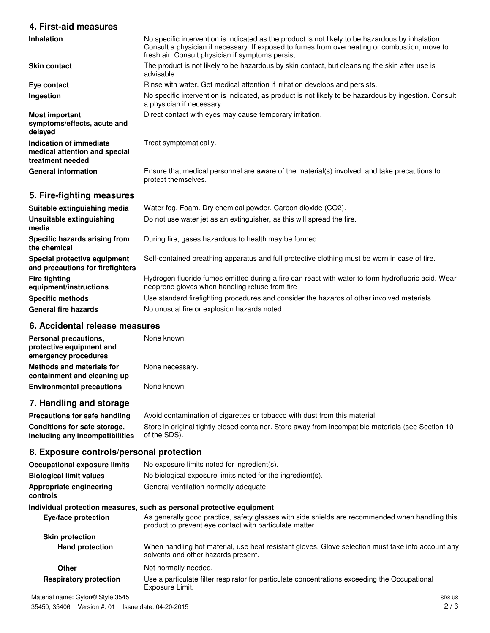## **4. First-aid measures**

| <b>Inhalation</b>                                                            | No specific intervention is indicated as the product is not likely to be hazardous by inhalation.<br>Consult a physician if necessary. If exposed to fumes from overheating or combustion, move to<br>fresh air. Consult physician if symptoms persist. |
|------------------------------------------------------------------------------|---------------------------------------------------------------------------------------------------------------------------------------------------------------------------------------------------------------------------------------------------------|
| <b>Skin contact</b>                                                          | The product is not likely to be hazardous by skin contact, but cleansing the skin after use is<br>advisable.                                                                                                                                            |
| Eye contact                                                                  | Rinse with water. Get medical attention if irritation develops and persists.                                                                                                                                                                            |
| Ingestion                                                                    | No specific intervention is indicated, as product is not likely to be hazardous by ingestion. Consult<br>a physician if necessary.                                                                                                                      |
| <b>Most important</b><br>symptoms/effects, acute and<br>delayed              | Direct contact with eyes may cause temporary irritation.                                                                                                                                                                                                |
| Indication of immediate<br>medical attention and special<br>treatment needed | Treat symptomatically.                                                                                                                                                                                                                                  |
| <b>General information</b>                                                   | Ensure that medical personnel are aware of the material(s) involved, and take precautions to<br>protect themselves.                                                                                                                                     |
| 5. Fire-fighting measures                                                    |                                                                                                                                                                                                                                                         |
| Suitable extinguishing media                                                 | Water fog. Foam. Dry chemical powder. Carbon dioxide (CO2).                                                                                                                                                                                             |
| Unsuitable extinguishing<br>media                                            | Do not use water jet as an extinguisher, as this will spread the fire.                                                                                                                                                                                  |
| Specific hazards arising from<br>the chemical                                | During fire, gases hazardous to health may be formed.                                                                                                                                                                                                   |
| Special protective equipment                                                 | Self-contained breathing apparatus and full protective clothing must be worn in case of fire.                                                                                                                                                           |

**and precautions for firefighters** Self-contained breathing apparatus and full protective clothing must be worn in case of fire.

> Hydrogen fluoride fumes emitted during a fire can react with water to form hydrofluoric acid. Wear neoprene gloves when handling refuse from fire

**Specific methods** Use standard firefighting procedures and consider the hazards of other involved materials.

General fire hazards **No unusual fire or explosion hazards noted.** 

## **6. Accidental release measures**

**Fire fighting**

**equipment/instructions**

| Personal precautions,            | None known.     |
|----------------------------------|-----------------|
| protective equipment and         |                 |
| emergency procedures             |                 |
| <b>Methods and materials for</b> | None necessary. |
| containment and cleaning up      |                 |
| <b>Environmental precautions</b> | None known.     |

## **7. Handling and storage**

**Precautions for safe handling** Avoid contamination of cigarettes or tobacco with dust from this material. **Conditions for safe storage, including any incompatibilities** Store in original tightly closed container. Store away from incompatible materials (see Section 10 of the SDS).

### **8. Exposure controls/personal protection**

| <b>Occupational exposure limits</b> | No exposure limits noted for ingredient(s).                                                                                                                |
|-------------------------------------|------------------------------------------------------------------------------------------------------------------------------------------------------------|
| <b>Biological limit values</b>      | No biological exposure limits noted for the ingredient(s).                                                                                                 |
| Appropriate engineering<br>controls | General ventilation normally adequate.                                                                                                                     |
|                                     | Individual protection measures, such as personal protective equipment                                                                                      |
| Eye/face protection                 | As generally good practice, safety glasses with side shields are recommended when handling this<br>product to prevent eye contact with particulate matter. |
| <b>Skin protection</b>              |                                                                                                                                                            |
| <b>Hand protection</b>              | When handling hot material, use heat resistant gloves. Glove selection must take into account any<br>solvents and other hazards present.                   |
| Other                               | Not normally needed.                                                                                                                                       |
| <b>Respiratory protection</b>       | Use a particulate filter respirator for particulate concentrations exceeding the Occupational<br>Exposure Limit.                                           |
| Material name: Gylon® Style 3545    | SDS US                                                                                                                                                     |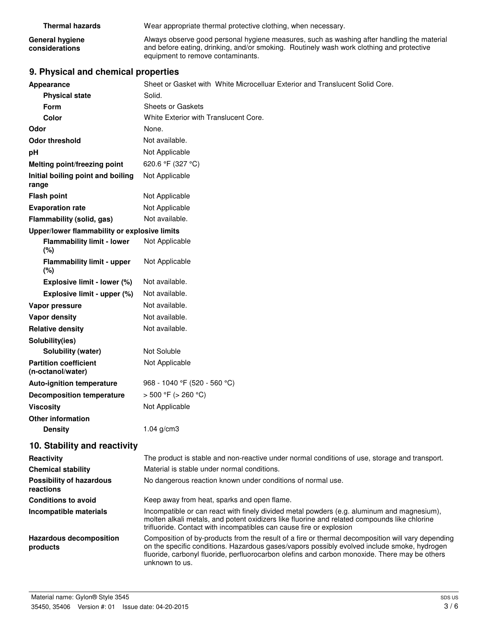**General hygiene considerations**

Always observe good personal hygiene measures, such as washing after handling the material and before eating, drinking, and/or smoking. Routinely wash work clothing and protective equipment to remove contaminants.

# **9. Physical and chemical properties**

| Appearance                                        | Sheet or Gasket with White Microcelluar Exterior and Translucent Solid Core.                                                                                                                                                                                                                                        |
|---------------------------------------------------|---------------------------------------------------------------------------------------------------------------------------------------------------------------------------------------------------------------------------------------------------------------------------------------------------------------------|
| <b>Physical state</b>                             | Solid.                                                                                                                                                                                                                                                                                                              |
| <b>Form</b>                                       | <b>Sheets or Gaskets</b>                                                                                                                                                                                                                                                                                            |
| Color                                             | White Exterior with Translucent Core.                                                                                                                                                                                                                                                                               |
| Odor                                              | None.                                                                                                                                                                                                                                                                                                               |
| <b>Odor threshold</b>                             | Not available.                                                                                                                                                                                                                                                                                                      |
| pH                                                | Not Applicable                                                                                                                                                                                                                                                                                                      |
| Melting point/freezing point                      | 620.6 °F (327 °C)                                                                                                                                                                                                                                                                                                   |
| Initial boiling point and boiling<br>range        | Not Applicable                                                                                                                                                                                                                                                                                                      |
| <b>Flash point</b>                                | Not Applicable                                                                                                                                                                                                                                                                                                      |
| <b>Evaporation rate</b>                           | Not Applicable                                                                                                                                                                                                                                                                                                      |
| Flammability (solid, gas)                         | Not available.                                                                                                                                                                                                                                                                                                      |
| Upper/lower flammability or explosive limits      |                                                                                                                                                                                                                                                                                                                     |
| <b>Flammability limit - lower</b><br>$(\%)$       | Not Applicable                                                                                                                                                                                                                                                                                                      |
| <b>Flammability limit - upper</b><br>(%)          | Not Applicable                                                                                                                                                                                                                                                                                                      |
| Explosive limit - lower (%)                       | Not available.                                                                                                                                                                                                                                                                                                      |
| Explosive limit - upper (%)                       | Not available.                                                                                                                                                                                                                                                                                                      |
| Vapor pressure                                    | Not available.                                                                                                                                                                                                                                                                                                      |
| <b>Vapor density</b>                              | Not available.                                                                                                                                                                                                                                                                                                      |
| <b>Relative density</b>                           | Not available.                                                                                                                                                                                                                                                                                                      |
| Solubility(ies)                                   |                                                                                                                                                                                                                                                                                                                     |
| Solubility (water)                                | Not Soluble                                                                                                                                                                                                                                                                                                         |
| <b>Partition coefficient</b><br>(n-octanol/water) | Not Applicable                                                                                                                                                                                                                                                                                                      |
| Auto-ignition temperature                         | 968 - 1040 °F (520 - 560 °C)                                                                                                                                                                                                                                                                                        |
| <b>Decomposition temperature</b>                  | $> 500 °F$ ( $> 260 °C$ )                                                                                                                                                                                                                                                                                           |
| <b>Viscosity</b>                                  | Not Applicable                                                                                                                                                                                                                                                                                                      |
| <b>Other information</b>                          |                                                                                                                                                                                                                                                                                                                     |
| <b>Density</b>                                    | $1.04$ g/cm3                                                                                                                                                                                                                                                                                                        |
| 10. Stability and reactivity                      |                                                                                                                                                                                                                                                                                                                     |
| Reactivity                                        | The product is stable and non-reactive under normal conditions of use, storage and transport.                                                                                                                                                                                                                       |
| <b>Chemical stability</b>                         | Material is stable under normal conditions.                                                                                                                                                                                                                                                                         |
| <b>Possibility of hazardous</b><br>reactions      | No dangerous reaction known under conditions of normal use.                                                                                                                                                                                                                                                         |
| <b>Conditions to avoid</b>                        | Keep away from heat, sparks and open flame.                                                                                                                                                                                                                                                                         |
| Incompatible materials                            | Incompatible or can react with finely divided metal powders (e.g. aluminum and magnesium),<br>molten alkali metals, and potent oxidizers like fluorine and related compounds like chlorine<br>trifluoride. Contact with incompatibles can cause fire or explosion                                                   |
| <b>Hazardous decomposition</b><br>products        | Composition of by-products from the result of a fire or thermal decomposition will vary depending<br>on the specific conditions. Hazardous gases/vapors possibly evolved include smoke, hydrogen<br>fluoride, carbonyl fluoride, perfluorocarbon olefins and carbon monoxide. There may be others<br>unknown to us. |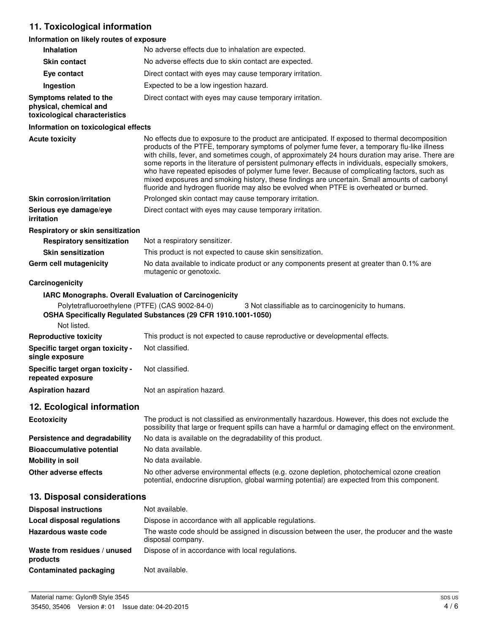# **11. Toxicological information**

## **Information on likely routes of exposure**

| <b>Inhalation</b>                                                                  | No adverse effects due to inhalation are expected.                                                                                                                                                                                                                                                                                                                                                                                                                                                                                                                                                                                                                                              |
|------------------------------------------------------------------------------------|-------------------------------------------------------------------------------------------------------------------------------------------------------------------------------------------------------------------------------------------------------------------------------------------------------------------------------------------------------------------------------------------------------------------------------------------------------------------------------------------------------------------------------------------------------------------------------------------------------------------------------------------------------------------------------------------------|
| <b>Skin contact</b>                                                                | No adverse effects due to skin contact are expected.                                                                                                                                                                                                                                                                                                                                                                                                                                                                                                                                                                                                                                            |
| Eye contact                                                                        | Direct contact with eyes may cause temporary irritation.                                                                                                                                                                                                                                                                                                                                                                                                                                                                                                                                                                                                                                        |
| Ingestion                                                                          | Expected to be a low ingestion hazard.                                                                                                                                                                                                                                                                                                                                                                                                                                                                                                                                                                                                                                                          |
| Symptoms related to the<br>physical, chemical and<br>toxicological characteristics | Direct contact with eyes may cause temporary irritation.                                                                                                                                                                                                                                                                                                                                                                                                                                                                                                                                                                                                                                        |
| Information on toxicological effects                                               |                                                                                                                                                                                                                                                                                                                                                                                                                                                                                                                                                                                                                                                                                                 |
| <b>Acute toxicity</b>                                                              | No effects due to exposure to the product are anticipated. If exposed to thermal decomposition<br>products of the PTFE, temporary symptoms of polymer fume fever, a temporary flu-like illness<br>with chills, fever, and sometimes cough, of approximately 24 hours duration may arise. There are<br>some reports in the literature of persistent pulmonary effects in individuals, especially smokers,<br>who have repeated episodes of polymer fume fever. Because of complicating factors, such as<br>mixed exposures and smoking history, these findings are uncertain. Small amounts of carbonyl<br>fluoride and hydrogen fluoride may also be evolved when PTFE is overheated or burned. |
| <b>Skin corrosion/irritation</b>                                                   | Prolonged skin contact may cause temporary irritation.                                                                                                                                                                                                                                                                                                                                                                                                                                                                                                                                                                                                                                          |
| Serious eye damage/eye<br>irritation                                               | Direct contact with eyes may cause temporary irritation.                                                                                                                                                                                                                                                                                                                                                                                                                                                                                                                                                                                                                                        |
| Respiratory or skin sensitization                                                  |                                                                                                                                                                                                                                                                                                                                                                                                                                                                                                                                                                                                                                                                                                 |
| <b>Respiratory sensitization</b>                                                   | Not a respiratory sensitizer.                                                                                                                                                                                                                                                                                                                                                                                                                                                                                                                                                                                                                                                                   |
| <b>Skin sensitization</b>                                                          | This product is not expected to cause skin sensitization.                                                                                                                                                                                                                                                                                                                                                                                                                                                                                                                                                                                                                                       |
| Germ cell mutagenicity                                                             | No data available to indicate product or any components present at greater than 0.1% are<br>mutagenic or genotoxic.                                                                                                                                                                                                                                                                                                                                                                                                                                                                                                                                                                             |
| Carcinogenicity                                                                    |                                                                                                                                                                                                                                                                                                                                                                                                                                                                                                                                                                                                                                                                                                 |
|                                                                                    | IARC Monographs. Overall Evaluation of Carcinogenicity                                                                                                                                                                                                                                                                                                                                                                                                                                                                                                                                                                                                                                          |
| Polytetrafluoroethylene (PTFE) (CAS 9002-84-0)                                     | 3 Not classifiable as to carcinogenicity to humans.<br>OSHA Specifically Regulated Substances (29 CFR 1910.1001-1050)                                                                                                                                                                                                                                                                                                                                                                                                                                                                                                                                                                           |
| Not listed.                                                                        |                                                                                                                                                                                                                                                                                                                                                                                                                                                                                                                                                                                                                                                                                                 |
| <b>Reproductive toxicity</b>                                                       | This product is not expected to cause reproductive or developmental effects.                                                                                                                                                                                                                                                                                                                                                                                                                                                                                                                                                                                                                    |
| Specific target organ toxicity -<br>single exposure                                | Not classified.                                                                                                                                                                                                                                                                                                                                                                                                                                                                                                                                                                                                                                                                                 |
| Specific target organ toxicity -<br>repeated exposure                              | Not classified.                                                                                                                                                                                                                                                                                                                                                                                                                                                                                                                                                                                                                                                                                 |
| <b>Aspiration hazard</b>                                                           | Not an aspiration hazard.                                                                                                                                                                                                                                                                                                                                                                                                                                                                                                                                                                                                                                                                       |
| 12. Ecological information                                                         |                                                                                                                                                                                                                                                                                                                                                                                                                                                                                                                                                                                                                                                                                                 |
| <b>Ecotoxicity</b>                                                                 | The product is not classified as environmentally hazardous. However, this does not exclude the<br>possibility that large or frequent spills can have a harmful or damaging effect on the environment.                                                                                                                                                                                                                                                                                                                                                                                                                                                                                           |
| Persistence and degradability                                                      | No data is available on the degradability of this product.                                                                                                                                                                                                                                                                                                                                                                                                                                                                                                                                                                                                                                      |
| <b>Bioaccumulative potential</b>                                                   | No data available.                                                                                                                                                                                                                                                                                                                                                                                                                                                                                                                                                                                                                                                                              |
| <b>Mobility in soil</b>                                                            | No data available.                                                                                                                                                                                                                                                                                                                                                                                                                                                                                                                                                                                                                                                                              |
| Other adverse effects                                                              | No other adverse environmental effects (e.g. ozone depletion, photochemical ozone creation<br>potential, endocrine disruption, global warming potential) are expected from this component.                                                                                                                                                                                                                                                                                                                                                                                                                                                                                                      |
| 13. Disposal considerations                                                        |                                                                                                                                                                                                                                                                                                                                                                                                                                                                                                                                                                                                                                                                                                 |
| <b>Disposal instructions</b>                                                       | Not available.                                                                                                                                                                                                                                                                                                                                                                                                                                                                                                                                                                                                                                                                                  |
| <b>Local disposal regulations</b>                                                  | Dispose in accordance with all applicable regulations.                                                                                                                                                                                                                                                                                                                                                                                                                                                                                                                                                                                                                                          |
| Hazardous waste code                                                               | The waste code should be assigned in discussion between the user, the producer and the waste<br>disposal company.                                                                                                                                                                                                                                                                                                                                                                                                                                                                                                                                                                               |
| Waste from residues / unused                                                       | Dispose of in accordance with local regulations.                                                                                                                                                                                                                                                                                                                                                                                                                                                                                                                                                                                                                                                |

**Contaminated packaging** Not available.

**products**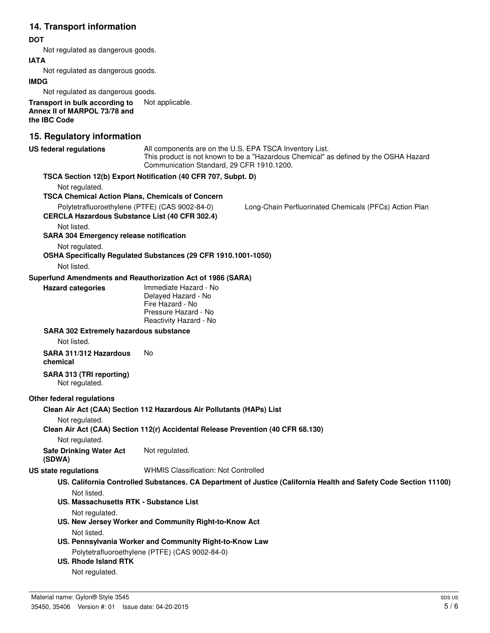# **14. Transport information**

### **DOT**

Not regulated as dangerous goods.

### **IATA**

Not regulated as dangerous goods.

#### **IMDG**

Not regulated as dangerous goods.

**Transport in bulk according to** Not applicable. **Annex II of MARPOL 73/78 and the IBC Code**

# **15. Regulatory information**

| <b>US federal regulations</b>                                                                           | Communication Standard, 29 CFR 1910.1200.                                                                          | All components are on the U.S. EPA TSCA Inventory List.<br>This product is not known to be a "Hazardous Chemical" as defined by the OSHA Hazard |
|---------------------------------------------------------------------------------------------------------|--------------------------------------------------------------------------------------------------------------------|-------------------------------------------------------------------------------------------------------------------------------------------------|
|                                                                                                         | TSCA Section 12(b) Export Notification (40 CFR 707, Subpt. D)                                                      |                                                                                                                                                 |
| Not regulated.                                                                                          |                                                                                                                    |                                                                                                                                                 |
| <b>TSCA Chemical Action Plans, Chemicals of Concern</b>                                                 |                                                                                                                    |                                                                                                                                                 |
| Polytetrafluoroethylene (PTFE) (CAS 9002-84-0)<br><b>CERCLA Hazardous Substance List (40 CFR 302.4)</b> |                                                                                                                    | Long-Chain Perfluorinated Chemicals (PFCs) Action Plan                                                                                          |
| Not listed.                                                                                             |                                                                                                                    |                                                                                                                                                 |
| <b>SARA 304 Emergency release notification</b>                                                          |                                                                                                                    |                                                                                                                                                 |
| Not regulated.                                                                                          |                                                                                                                    |                                                                                                                                                 |
|                                                                                                         | OSHA Specifically Regulated Substances (29 CFR 1910.1001-1050)                                                     |                                                                                                                                                 |
| Not listed.                                                                                             |                                                                                                                    |                                                                                                                                                 |
| Superfund Amendments and Reauthorization Act of 1986 (SARA)                                             |                                                                                                                    |                                                                                                                                                 |
| <b>Hazard categories</b>                                                                                | Immediate Hazard - No<br>Delayed Hazard - No<br>Fire Hazard - No<br>Pressure Hazard - No<br>Reactivity Hazard - No |                                                                                                                                                 |
| <b>SARA 302 Extremely hazardous substance</b>                                                           |                                                                                                                    |                                                                                                                                                 |
| Not listed.                                                                                             |                                                                                                                    |                                                                                                                                                 |
| SARA 311/312 Hazardous<br>chemical                                                                      | No                                                                                                                 |                                                                                                                                                 |
| SARA 313 (TRI reporting)<br>Not regulated.                                                              |                                                                                                                    |                                                                                                                                                 |
| Other federal regulations                                                                               |                                                                                                                    |                                                                                                                                                 |
|                                                                                                         | Clean Air Act (CAA) Section 112 Hazardous Air Pollutants (HAPs) List                                               |                                                                                                                                                 |
| Not regulated.                                                                                          | Clean Air Act (CAA) Section 112(r) Accidental Release Prevention (40 CFR 68.130)                                   |                                                                                                                                                 |
| Not regulated.                                                                                          |                                                                                                                    |                                                                                                                                                 |
| <b>Safe Drinking Water Act</b><br>(SDWA)                                                                | Not regulated.                                                                                                     |                                                                                                                                                 |
| US state regulations                                                                                    | <b>WHMIS Classification: Not Controlled</b>                                                                        |                                                                                                                                                 |
|                                                                                                         |                                                                                                                    | US. California Controlled Substances. CA Department of Justice (California Health and Safety Code Section 11100)                                |
|                                                                                                         |                                                                                                                    |                                                                                                                                                 |
| Not listed.<br><b>US. Massachusetts RTK - Substance List</b>                                            |                                                                                                                    |                                                                                                                                                 |
| Not regulated.                                                                                          |                                                                                                                    |                                                                                                                                                 |
|                                                                                                         | US. New Jersey Worker and Community Right-to-Know Act                                                              |                                                                                                                                                 |
| Not listed.                                                                                             |                                                                                                                    |                                                                                                                                                 |
|                                                                                                         | US. Pennsylvania Worker and Community Right-to-Know Law                                                            |                                                                                                                                                 |
|                                                                                                         | Polytetrafluoroethylene (PTFE) (CAS 9002-84-0)                                                                     |                                                                                                                                                 |
| <b>US. Rhode Island RTK</b>                                                                             |                                                                                                                    |                                                                                                                                                 |
| Not regulated.                                                                                          |                                                                                                                    |                                                                                                                                                 |